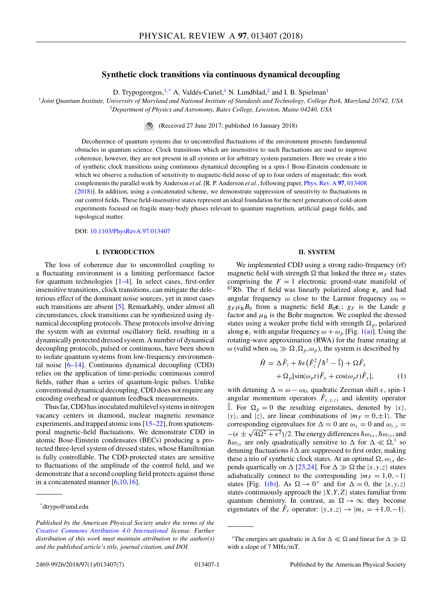## **Synthetic clock transitions via continuous dynamical decoupling**

D. Trypogeorgos,  $1$ <sup>\*</sup> A. Valdés-Curiel, <sup>1</sup> N. Lundblad, <sup>2</sup> and I. B. Spielman<sup>1</sup>

<span id="page-0-0"></span><sup>1</sup>*Joint Quantum Institute, University of Maryland and National Institute of Standards and Technology, College Park, Maryland 20742, USA* <sup>2</sup>*Department of Physics and Astronomy, Bates College, Lewiston, Maine 04240, USA*

> $\blacksquare$ (Received 27 June 2017; published 16 January 2018)

Decoherence of quantum systems due to uncontrolled fluctuations of the environment presents fundamental obstacles in quantum science. Clock transitions which are insensitive to such fluctuations are used to improve coherence, however, they are not present in all systems or for arbitrary system parameters. Here we create a trio of synthetic clock transitions using continuous dynamical decoupling in a spin-1 Bose-Einstein condensate in which we observe a reduction of sensitivity to magnetic-field noise of up to four orders of magnitude; this work complements the parallel work by Anderson *et al.* [R. P. Anderson *et al.*, following paper, [Phys. Rev. A](https://doi.org/10.1103/PhysRevA.97.013408) **[97](https://doi.org/10.1103/PhysRevA.97.013408)**, [013408](https://doi.org/10.1103/PhysRevA.97.013408) [\(2018\)](https://doi.org/10.1103/PhysRevA.97.013408)]. In addition, using a concatenated scheme, we demonstrate suppression of sensitivity to fluctuations in our control fields. These field-insensitive states represent an ideal foundation for the next generation of cold-atom experiments focused on fragile many-body phases relevant to quantum magnetism, artificial gauge fields, and topological matter.

DOI: [10.1103/PhysRevA.97.013407](https://doi.org/10.1103/PhysRevA.97.013407)

## **I. INTRODUCTION**

The loss of coherence due to uncontrolled coupling to a fluctuating environment is a limiting performance factor for quantum technologies [\[1–4\]](#page-6-0). In select cases, first-order insensitive transitions, clock transitions, can mitigate the deleterious effect of the dominant noise sources, yet in most cases such transitions are absent [\[5\]](#page-6-0). Remarkably, under almost all circumstances, clock transitions can be synthesized using dynamical decoupling protocols. These protocols involve driving the system with an external oscillatory field, resulting in a dynamically protected dressed system. A number of dynamical decoupling protocols, pulsed or continuous, have been shown to isolate quantum systems from low-frequency environmental noise [\[6–14\]](#page-6-0). Continuous dynamical decoupling (CDD) relies on the application of time-periodic continuous control fields, rather than a series of quantum-logic pulses. Unlike conventional dynamical decoupling, CDD does not require any encoding overhead or quantum feedback measurements.

Thus far, CDD has inoculated multilevel systems in nitrogen vacancy centers in diamond, nuclear magnetic resonance experiments, and trapped atomic ions [\[15–22\]](#page-6-0), from spatiotemporal magnetic-field fluctuations. We demonstrate CDD in atomic Bose-Einstein condensates (BECs) producing a protected three-level system of dressed states, whose Hamiltonian is fully controllable. The CDD-protected states are sensitive to fluctuations of the amplitude of the control field, and we demonstrate that a second coupling field protects against those in a concatenated manner  $[6,10,16]$ .

#### **II. SYSTEM**

We implemented CDD using a strong radio-frequency (rf) magnetic field with strength  $\Omega$  that linked the three  $m_F$  states comprising the  $F = 1$  electronic ground-state manifold of <sup>87</sup>Rb. The rf field was linearly polarized along  $e_x$  and had angular frequency  $\omega$  close to the Larmor frequency  $\omega_0 =$  $g_F \mu_B B_0$  from a magnetic field  $B_0 \mathbf{e}_z$ ;  $g_F$  is the Lande *g* factor and  $\mu_B$  is the Bohr magneton. We coupled the dressed states using a weaker probe field with strength  $\Omega_p$ , polarized along  $\mathbf{e}_y$  with angular frequency  $\omega + \omega_p$  [Fig. [1\(a\)\]](#page-1-0). Using the rotating-wave approximation (RWA) for the frame rotating at *ω* (valid when  $ω_0 \gg \Omega$ ,  $\Omega_p$ ,  $ω_p$ ), the system is described by

$$
\hat{H} = \Delta \hat{F}_z + \hbar \epsilon \left( \hat{F}_z^2 / \hbar^2 - \hat{\mathbb{I}} \right) + \Omega \hat{F}_x \n+ \Omega_p [\sin(\omega_p t) \hat{F}_x + \cos(\omega_p t) \hat{F}_y],
$$
\n(1)

with detuning  $\Delta = \omega - \omega_0$ , quadratic Zeeman shift  $\epsilon$ , spin-1 angular momentum operators  $\hat{F}_{x,y,z}$ , and identity operator  $\hat{\mathbb{I}}$ . For  $\Omega_p = 0$  the resulting eigenstates, denoted by  $|x\rangle$ ,  $|y\rangle$ , and  $|z\rangle$ , are linear combinations of  $|m_F = 0, \pm 1\rangle$ . The corresponding eigenvalues for  $\Delta = 0$  are  $\omega_x = 0$  and  $\omega_{z,y} =$  $-(\epsilon \pm \sqrt{4\Omega^2 + \epsilon^2})/2$ . The energy differences  $\hbar \omega_{xy}$ ,  $\hbar \omega_{zy}$ , and  $h\omega_{zx}$  are only quadratically sensitive to  $\Delta$  for  $\Delta \ll \Omega$ ,<sup>1</sup> so detuning fluctuations  $\delta \Delta$  are suppressed to first order, making these a trio of synthetic clock states. At an optimal  $\Omega$ ,  $\omega_{zx}$  depends quartically on  $\Delta$  [\[23,24\]](#page-6-0). For  $\Delta \gg \Omega$  the  $|x,y,z\rangle$  states adiabatically connect to the corresponding  $|m_F = 1, 0, -1\rangle$ states [Fig. [1\(b\)\]](#page-1-0). As  $\Omega \to 0^+$  and for  $\Delta = 0$ , the  $|x, y, z \rangle$ states continuously approach the  $|X, Y, Z\rangle$  states familiar from quantum chemistry. In contrast, as  $\Omega \to \infty$  they become eigenstates of the  $\hat{F}_x$  operator:  $|y,x,z\rangle \rightarrow |m_x = +1,0,-1\rangle$ .

<sup>\*</sup>dtrypo@umd.edu

*Published by the American Physical Society under the terms of the [Creative Commons Attribution 4.0 International](https://creativecommons.org/licenses/by/4.0/) license. Further distribution of this work must maintain attribution to the author(s) and the published article's title, journal citation, and DOI.*

<sup>&</sup>lt;sup>1</sup>The energies are quadratic in  $\Delta$  for  $\Delta \ll \Omega$  and linear for  $\Delta \gg \Omega$ with a slope of 7 MHz*/*mT.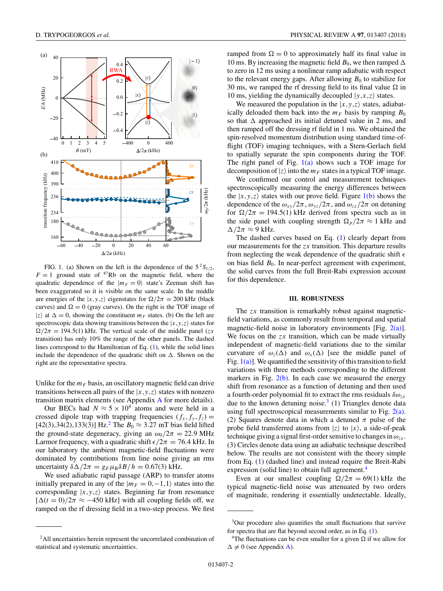<span id="page-1-0"></span>

FIG. 1. (a) Shown on the left is the dependence of the  $5^2S_{1/2}$ ,  $F = 1$  ground state of  $87Rb$  on the magnetic field, where the quadratic dependence of the  $|m_F = 0\rangle$  state's Zeeman shift has been exaggerated so it is visible on the same scale. In the middle are energies of the  $|x, y, z\rangle$  eigenstates for  $\Omega/2\pi = 200$  kHz (black curves) and  $\Omega = 0$  (gray curves). On the right is the TOF image of  $|z\rangle$  at  $\Delta = 0$ , showing the constituent  $m_F$  states. (b) On the left are spectroscopic data showing transitions between the  $|x, y, z\rangle$  states for  $\Omega/2\pi = 194.5(1)$  kHz. The vertical scale of the middle panel (*zx* transition) has only 10% the range of the other panels. The dashed lines correspond to the Hamiltonian of Eq. [\(1\)](#page-0-0), while the solid lines include the dependence of the quadratic shift on  $\Delta$ . Shown on the right are the representative spectra.

Unlike for the  $m_F$  basis, an oscillatory magnetic field can drive transitions between all pairs of the  $|x, y, z\rangle$  states with nonzero transition matrix elements (see Appendix [A](#page-4-0) for more details).

Our BECs had  $N \approx 5 \times 10^4$  atoms and were held in a crossed dipole trap with trapping frequencies  $(f_x, f_y, f_z)$ [42(3), 34(2), 133(3)] Hz.<sup>2</sup> The  $B_0 \approx 3.27$  mT bias field lifted the ground-state degeneracy, giving an  $\omega_0/2\pi = 22.9 \text{ MHz}$ Larmor frequency, with a quadratic shift  $\epsilon/2\pi = 76.4$  kHz. In our laboratory the ambient magnetic-field fluctuations were dominated by contributions from line noise giving an rms uncertainty  $\delta\Delta/2\pi = g_F\mu_B\delta B/h = 0.67(3)$  kHz.

We used adiabatic rapid passage (ARP) to transfer atoms initially prepared in any of the  $|m_F = 0, -1, 1\rangle$  states into the corresponding  $|x, y, z\rangle$  states. Beginning far from resonance  $[\Delta(t=0)/2\pi \approx -450$  kHz] with all coupling fields off, we ramped on the rf dressing field in a two-step process. We first ramped from  $\Omega = 0$  to approximately half its final value in 10 ms. By increasing the magnetic field  $B_0$ , we then ramped  $\Delta$ to zero in 12 ms using a nonlinear ramp adiabatic with respect to the relevant energy gaps. After allowing  $B_0$  to stabilize for 30 ms, we ramped the rf dressing field to its final value  $\Omega$  in 10 ms, yielding the dynamically decoupled  $|y, x, z\rangle$  states.

We measured the population in the  $|x, y, z\rangle$  states, adiabatically deloaded them back into the  $m_F$  basis by ramping  $B_0$ so that  $\Delta$  approached its initial detuned value in 2 ms, and then ramped off the dressing rf field in 1 ms. We obtained the spin-resolved momentum distribution using standard time-offlight (TOF) imaging techniques, with a Stern-Gerlach field to spatially separate the spin components during the TOF. The right panel of Fig.  $1(a)$  shows such a TOF image for decomposition of  $|z\rangle$  into the  $m_F$  states in a typical TOF image.

We confirmed our control and measurement techniques spectroscopically measuring the energy differences between the  $|x, y, z\rangle$  states with our prove field. Figure  $1(b)$  shows the dependence of the  $\omega_{xy}/2\pi$ ,  $\omega_{yz}/2\pi$ , and  $\omega_{zx}/2\pi$  on detuning for  $\Omega/2\pi = 194.5(1)$  kHz derived from spectra such as in the side panel with coupling strength  $\Omega_p/2\pi \approx 1$  kHz and  $\Delta/2\pi \approx 9$  kHz.

The dashed curves based on Eq. [\(1\)](#page-0-0) clearly depart from our measurements for the *zx* transition. This departure results from neglecting the weak dependence of the quadratic shift  $\epsilon$ on bias field  $B_0$ . In near-perfect agreement with experiment, the solid curves from the full Breit-Rabi expression account for this dependence.

### **III. ROBUSTNESS**

The *zx* transition is remarkably robust against magneticfield variations, as commonly result from temporal and spatial magnetic-field noise in laboratory environments [Fig.  $2(a)$ ]. We focus on the *zx* transition, which can be made virtually independent of magnetic-field variations due to the similar curvature of  $\omega_z(\Delta)$  and  $\omega_x(\Delta)$  [see the middle panel of Fig.  $1(a)$ ]. We quantified the sensitivity of this transition to field variations with three methods corresponding to the different markers in Fig.  $2(b)$ . In each case we measured the energy shift from resonance as a function of detuning and then used a fourth-order polynomial fit to extract the rms residuals *δωzx* due to the known detuning noise.<sup>3</sup> (1) Triangles denote data using full spectroscopical measurements similar to Fig.  $2(a)$ . (2) Squares denote data in which a detuned  $\pi$  pulse of the probe field transferred atoms from  $|z\rangle$  to  $|x\rangle$ , a side-of-peak technique giving a signal first-order sensitive to changes in  $\omega_{zx}$ . (3) Circles denote data using an adiabatic technique described below. The results are not consistent with the theory simple from Eq. [\(1\)](#page-0-0) (dashed line) and instead require the Breit-Rabi expression (solid line) to obtain full agreement.<sup>4</sup>

Even at our smallest coupling  $\Omega/2\pi = 69(1)$  kHz the typical magnetic-field noise was attenuated by two orders of magnitude, rendering it essentially undetectable. Ideally,

<sup>&</sup>lt;sup>2</sup>All uncertainties herein represent the uncorrelated combination of statistical and systematic uncertainties.

<sup>3</sup>Our procedure also quantifies the small fluctuations that survive for spectra that are flat beyond second order, as in Eq. [\(1\)](#page-0-0).

<sup>&</sup>lt;sup>4</sup>The fluctuations can be even smaller for a given  $\Omega$  if we allow for  $\Delta \neq 0$  (see Appendix [A\)](#page-4-0).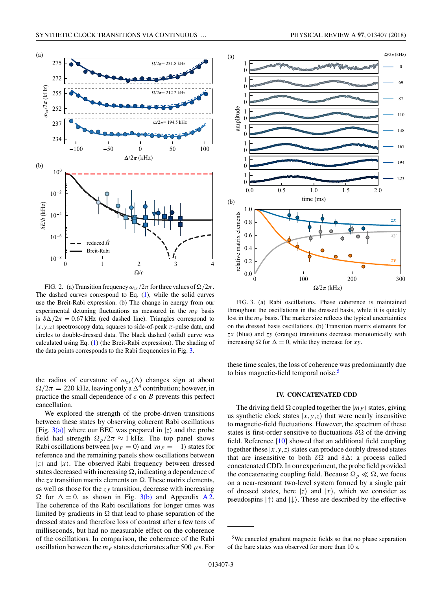<span id="page-2-0"></span>

FIG. 2. (a) Transition frequency  $\omega_{zx}/2\pi$  for three values of  $\Omega/2\pi$ . The dashed curves correspond to Eq. [\(1\)](#page-0-0), while the solid curves use the Breit-Rabi expression. (b) The change in energy from our experimental detuning fluctuations as measured in the  $m_F$  basis is  $\delta\Delta/2\pi = 0.67$  kHz (red dashed line). Triangles correspond to  $|x, y, z\rangle$  spectroscopy data, squares to side-of-peak  $\pi$ -pulse data, and circles to double-dressed data. The black dashed (solid) curve was calculated using Eq. [\(1\)](#page-0-0) (the Breit-Rabi expression). The shading of the data points corresponds to the Rabi frequencies in Fig. 3.

the radius of curvature of  $\omega_{zx}(\Delta)$  changes sign at about  $\Omega/2\pi = 220$  kHz, leaving only a  $\Delta^4$  contribution; however, in practice the small dependence of  $\epsilon$  on *B* prevents this perfect cancellation.

We explored the strength of the probe-driven transitions between these states by observing coherent Rabi oscillations [Fig.  $3(a)$ ] where our BEC was prepared in  $|z\rangle$  and the probe field had strength  $\Omega_p/2\pi \approx 1$  kHz. The top panel shows Rabi oscillations between  $|m_F = 0\rangle$  and  $|m_F = -1\rangle$  states for reference and the remaining panels show oscillations between  $|z\rangle$  and  $|x\rangle$ . The observed Rabi frequency between dressed states decreased with increasing  $\Omega$ , indicating a dependence of the  $zx$  transition matrix elements on  $\Omega$ . These matrix elements, as well as those for the *zy* transition, decrease with increasing  $\Omega$  for  $\Delta = 0$ , as shown in Fig. 3(b) and Appendix [A 2.](#page-5-0) The coherence of the Rabi oscillations for longer times was limited by gradients in  $\Omega$  that lead to phase separation of the dressed states and therefore loss of contrast after a few tens of milliseconds, but had no measurable effect on the coherence of the oscillations. In comparison, the coherence of the Rabi oscillation between the  $m_F$  states deteriorates after 500  $\mu$ s. For



FIG. 3. (a) Rabi oscillations. Phase coherence is maintained throughout the oscillations in the dressed basis, while it is quickly lost in the  $m_F$  basis. The marker size reflects the typical uncertainties on the dressed basis oscillations. (b) Transition matrix elements for *zx* (blue) and *zy* (orange) transitions decrease monotonically with increasing  $\Omega$  for  $\Delta = 0$ , while they increase for *xy*.

these time scales, the loss of coherence was predominantly due to bias magnetic-field temporal noise.<sup>5</sup>

## **IV. CONCATENATED CDD**

The driving field  $\Omega$  coupled together the  $|m_F\rangle$  states, giving us synthetic clock states  $|x, y, z\rangle$  that were nearly insensitive to magnetic-field fluctuations. However, the spectrum of these states is first-order sensitive to fluctuations  $\delta\Omega$  of the driving field. Reference [\[10\]](#page-6-0) showed that an additional field coupling together these  $|x, y, z\rangle$  states can produce doubly dressed states that are insensitive to both  $\delta\Omega$  and  $\delta\Delta$ : a process called concatenated CDD. In our experiment, the probe field provided the concatenating coupling field. Because  $\Omega_p \ll \Omega$ , we focus on a near-resonant two-level system formed by a single pair of dressed states, here  $|z\rangle$  and  $|x\rangle$ , which we consider as pseudospins  $|\uparrow\rangle$  and  $|\downarrow\rangle$ . These are described by the effective

<sup>5</sup>We canceled gradient magnetic fields so that no phase separation of the bare states was observed for more than 10 s.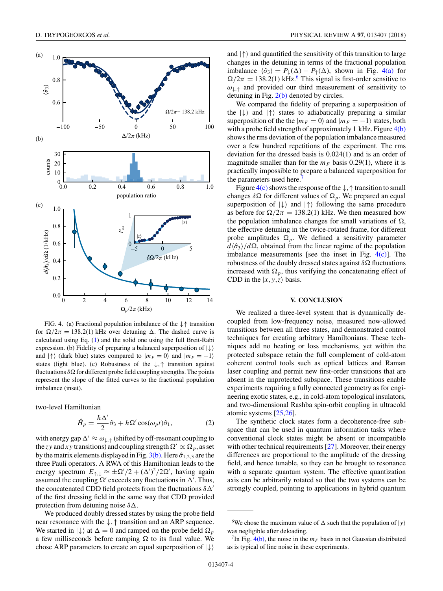

FIG. 4. (a) Fractional population imbalance of the ↓↑ transition for  $\Omega/2\pi = 138.2(1)$  kHz over detuning  $\Delta$ . The dashed curve is calculated using Eq. [\(1\)](#page-0-0) and the solid one using the full Breit-Rabi expression. (b) Fidelity of preparing a balanced superposition of  $|\downarrow\rangle$ and  $|\uparrow\rangle$  (dark blue) states compared to  $|m_F = 0\rangle$  and  $|m_F = -1\rangle$ states (light blue). (c) Robustness of the ↓*,*↑ transition against fluctuations  $\delta\Omega$  for different probe field coupling strengths. The points represent the slope of the fitted curves to the fractional population imbalance (inset).

two-level Hamiltonian

$$
\hat{H}_p = \frac{\hbar \Delta'}{2} \hat{\sigma}_3 + \hbar \Omega' \cos(\omega_p t) \hat{\sigma}_1,\tag{2}
$$

with energy gap  $\Delta' \approx \omega_{\perp,\uparrow}$  (shifted by off-resonant coupling to the *zy* and *xy* transitions) and coupling strength  $\Omega' \propto \Omega_p$ , as set by the matrix elements displayed in Fig. [3\(b\).](#page-2-0) Here  $\hat{\sigma}_{1,2,3}$  are the three Pauli operators. A RWA of this Hamiltonian leads to the energy spectrum  $E_{\uparrow,\downarrow} \approx \pm \Omega'/2 + (\Delta')^2/2\Omega'$ , having again assumed the coupling  $\Omega'$  exceeds any fluctuations in  $\Delta'$ . Thus, the concatenated CDD field protects from the fluctuations *δ* of the first dressing field in the same way that CDD provided protection from detuning noise  $\delta \Delta$ .

We produced doubly dressed states by using the probe field near resonance with the ↓*,*↑ transition and an ARP sequence. We started in  $|\downarrow\rangle$  at  $\Delta = 0$  and ramped on the probe field  $\Omega_p$ a few milliseconds before ramping  $\Omega$  to its final value. We chose ARP parameters to create an equal superposition of  $|\downarrow\rangle$ 

and  $|\uparrow\rangle$  and quantified the sensitivity of this transition to large changes in the detuning in terms of the fractional population imbalance  $\langle \hat{\sigma}_3 \rangle = P_{\downarrow}(\Delta) - P_{\uparrow}(\Delta)$ , shown in Fig. 4(a) for  $\Omega/2\pi = 138.2(1) \text{ kHz}$ .<sup>6</sup> This signal is first-order sensitive to  $\omega_{\perp}$  and provided our third measurement of sensitivity to detuning in Fig.  $2(b)$  denoted by circles.

We compared the fidelity of preparing a superposition of the  $|\downarrow\rangle$  and  $|\uparrow\rangle$  states to adiabatically preparing a similar superposition of the the  $|m_F = 0\rangle$  and  $|m_F = -1\rangle$  states, both with a probe field strength of approximately 1 kHz. Figure 4(b) shows the rms deviation of the population imbalance measured over a few hundred repetitions of the experiment. The rms deviation for the dressed basis is 0*.*024(1) and is an order of magnitude smaller than for the  $m_F$  basis 0.29(1), where it is practically impossible to prepare a balanced superposition for the parameters used here.

Figure  $4(c)$  shows the response of the  $\downarrow$ ,  $\uparrow$  transition to small changes  $\delta\Omega$  for different values of  $\Omega_p$ . We prepared an equal superposition of  $|\downarrow\rangle$  and  $|\uparrow\rangle$  following the same procedure as before for  $\Omega/2\pi = 138.2(1)$  kHz. We then measured how the population imbalance changes for small variations of  $\Omega$ , the effective detuning in the twice-rotated frame, for different probe amplitudes  $\Omega_p$ . We defined a sensitivity parameter  $d\langle \hat{\sigma}_3 \rangle / d\Omega$ , obtained from the linear regime of the population imbalance measurements [see the inset in Fig.  $4(c)$ ]. The robustness of the doubly dressed states against  $\delta\Omega$  fluctuations increased with  $\Omega_p$ , thus verifying the concatenating effect of CDD in the  $|x, y, z\rangle$  basis.

## **V. CONCLUSION**

We realized a three-level system that is dynamically decoupled from low-frequency noise, measured now-allowed transitions between all three states, and demonstrated control techniques for creating arbitrary Hamiltonians. These techniques add no heating or loss mechanisms, yet within the protected subspace retain the full complement of cold-atom coherent control tools such as optical lattices and Raman laser coupling and permit new first-order transitions that are absent in the unprotected subspace. These transitions enable experiments requiring a fully connected geometry as for engineering exotic states, e.g., in cold-atom topological insulators, and two-dimensional Rashba spin-orbit coupling in ultracold atomic systems [\[25,26\]](#page-6-0).

The synthetic clock states form a decoherence-free subspace that can be used in quantum information tasks where conventional clock states might be absent or incompatible with other technical requirements [\[27\]](#page-6-0). Moreover, their energy differences are proportional to the amplitude of the dressing field, and hence tunable, so they can be brought to resonance with a separate quantum system. The effective quantization axis can be arbitrarily rotated so that the two systems can be strongly coupled, pointing to applications in hybrid quantum

<sup>&</sup>lt;sup>6</sup>We chose the maximum value of  $\Delta$  such that the population of  $|y\rangle$ was negligible after deloading.

<sup>&</sup>lt;sup>T</sup>In Fig. 4(b), the noise in the  $m_F$  basis in not Gaussian distributed as is typical of line noise in these experiments.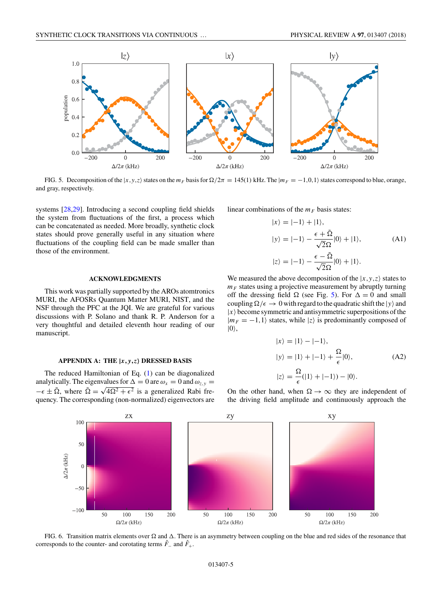<span id="page-4-0"></span>

FIG. 5. Decomposition of the  $|x, y, z\rangle$  states on the  $m_F$  basis for  $\Omega/2\pi = 145(1)$  kHz. The  $|m_F = -1, 0, 1\rangle$  states correspond to blue, orange, and gray, respectively.

systems [\[28,29\]](#page-6-0). Introducing a second coupling field shields the system from fluctuations of the first, a process which can be concatenated as needed. More broadly, synthetic clock states should prove generally useful in any situation where fluctuations of the coupling field can be made smaller than those of the environment.

## **ACKNOWLEDGMENTS**

This work was partially supported by the AROs atomtronics MURI, the AFOSRs Quantum Matter MURI, NIST, and the NSF through the PFC at the JQI. We are grateful for various discussions with P. Solano and thank R. P. Anderson for a very thoughtful and detailed eleventh hour reading of our manuscript.

# **APPENDIX A: THE |***x, y,z***- DRESSED BASIS**

The reduced Hamiltonian of Eq. [\(1\)](#page-0-0) can be diagonalized analytically. The eigenvalues for  $\Delta = 0$  are  $\omega_x = 0$  and  $\omega_{z,y} = 0$  $-\epsilon \pm \tilde{\Omega}$ , where  $\tilde{\Omega} = \sqrt{4\Omega^2 + \epsilon^2}$  is a generalized Rabi frequency. The corresponding (non-normalized) eigenvectors are linear combinations of the  $m_F$  basis states:

$$
|x\rangle = |-1\rangle + |1\rangle,
$$
  
\n
$$
|y\rangle = |-1\rangle - \frac{\epsilon + \tilde{\Omega}}{\sqrt{2}\Omega}|0\rangle + |1\rangle,
$$
  
\n
$$
|z\rangle = |-1\rangle - \frac{\epsilon - \tilde{\Omega}}{\sqrt{2}\Omega}|0\rangle + |1\rangle.
$$
 (A1)

We measured the above decomposition of the  $|x, y, z\rangle$  states to  $m_F$  states using a projective measurement by abruptly turning off the dressing field  $\Omega$  (see Fig. 5). For  $\Delta = 0$  and small coupling  $\Omega/\epsilon \to 0$  with regard to the quadratic shift the  $|y\rangle$  and  $|x\rangle$  become symmetric and antisymmetric superpositions of the  $|m_F = -1,1\rangle$  states, while  $|z\rangle$  is predominantly composed of  $|0\rangle,$ 

$$
|x\rangle = |1\rangle - |-1\rangle,
$$
  
\n
$$
|y\rangle = |1\rangle + |-1\rangle + \frac{\Omega}{\epsilon}|0\rangle,
$$
  
\n
$$
|z\rangle = \frac{\Omega}{\epsilon}(|1\rangle + |-1\rangle) - |0\rangle.
$$
 (A2)

On the other hand, when  $\Omega \to \infty$  they are independent of the driving field amplitude and continuously approach the



FIG. 6. Transition matrix elements over  $\Omega$  and  $\Delta$ . There is an asymmetry between coupling on the blue and red sides of the resonance that corresponds to the counter- and corotating terms  $\hat{F}_-$  and  $\hat{F}_+$ .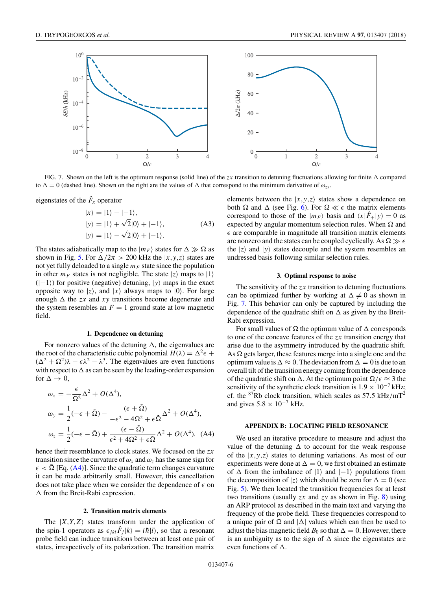<span id="page-5-0"></span>

FIG. 7. Shown on the left is the optimum response (solid line) of the *zx* transition to detuning fluctuations allowing for finite  $\Delta$  compared to  $\Delta = 0$  (dashed line). Shown on the right are the values of  $\Delta$  that correspond to the minimum derivative of  $\omega_{zx}$ .

eigenstates of the  $\hat{F}_x$  operator

$$
|x\rangle = |1\rangle - |-1\rangle,
$$
  
\n
$$
|y\rangle = |1\rangle + \sqrt{2}|0\rangle + |-1\rangle,
$$
  
\n
$$
|y\rangle = |1\rangle - \sqrt{2}|0\rangle + |-1\rangle.
$$
 (A3)

The states adiabatically map to the  $|m_F\rangle$  states for  $\Delta \gg \Omega$  as shown in Fig. [5.](#page-4-0) For  $\Delta/2\pi > 200$  kHz the  $|x, y, z\rangle$  states are not yet fully deloaded to a single  $m_F$  state since the population in other  $m_F$  states is not negligible. The state  $|z\rangle$  maps to  $|1\rangle$  $(|-1\rangle)$  for positive (negative) detuning,  $|y\rangle$  maps in the exact opposite way to  $|z\rangle$ , and  $|x\rangle$  always maps to  $|0\rangle$ . For large enough  $\Delta$  the *zx* and *xy* transitions become degenerate and the system resembles an  $F = 1$  ground state at low magnetic field.

#### **1. Dependence on detuning**

For nonzero values of the detuning  $\Delta$ , the eigenvalues are the root of the characteristic cubic polynomial  $H(\lambda) = \Delta^2 \epsilon +$  $(\Delta^2 + \Omega^2)\lambda - \epsilon \lambda^2 - \lambda^3$ . The eigenvalues are even functions with respect to  $\Delta$  as can be seen by the leading-order expansion for  $\Delta \rightarrow 0$ ,

$$
\omega_x = -\frac{\epsilon}{\Omega^2} \Delta^2 + O(\Delta^4),
$$
  
\n
$$
\omega_y = \frac{1}{2} (-\epsilon + \tilde{\Omega}) - \frac{(\epsilon + \tilde{\Omega})}{-\epsilon^2 - 4\Omega^2 + \epsilon \tilde{\Omega}} \Delta^2 + O(\Delta^4),
$$
  
\n
$$
\omega_z = \frac{1}{2} (-\epsilon - \tilde{\Omega}) + \frac{(\epsilon - \tilde{\Omega})}{\epsilon^2 + 4\Omega^2 + \epsilon \tilde{\Omega}} \Delta^2 + O(\Delta^4). \quad (A4)
$$

hence their resemblance to clock states. We focused on the *zx* transition since the curvature of  $\omega_x$  and  $\omega_z$  has the same sign for  $\epsilon < \tilde{\Omega}$  [Eq. (A4)]. Since the quadratic term changes curvature it can be made arbitrarily small. However, this cancellation does not take place when we consider the dependence of  $\epsilon$  on  $\Delta$  from the Breit-Rabi expression.

#### **2. Transition matrix elements**

The  $|X, Y, Z\rangle$  states transform under the application of the spin-1 operators as  $\epsilon_{jkl} \hat{F}_j |k\rangle = i\hbar |l\rangle$ , so that a resonant probe field can induce transitions between at least one pair of states, irrespectively of its polarization. The transition matrix

elements between the  $|x, y, z\rangle$  states show a dependence on both  $\Omega$  and  $\Delta$  (see Fig. [6\)](#page-4-0). For  $\Omega \ll \epsilon$  the matrix elements correspond to those of the  $|m_F\rangle$  basis and  $\langle x|\hat{F}_+|y\rangle = 0$  as expected by angular momentum selection rules. When  $\Omega$  and  $\epsilon$  are comparable in magnitude all transition matrix elements are nonzero and the states can be coupled cyclically. As  $\Omega \gg \epsilon$ the  $|z\rangle$  and  $|y\rangle$  states decouple and the system resembles an undressed basis following similar selection rules.

## **3. Optimal response to noise**

The sensitivity of the *zx* transition to detuning fluctuations can be optimized further by working at  $\Delta \neq 0$  as shown in Fig. 7. This behavior can only be captured by including the dependence of the quadratic shift on  $\Delta$  as given by the Breit-Rabi expression.

For small values of  $\Omega$  the optimum value of  $\Delta$  corresponds to one of the concave features of the *zx* transition energy that arise due to the asymmetry introduced by the quadratic shift. As  $\Omega$  gets larger, these features merge into a single one and the optimum value is  $\Delta \approx 0$ . The deviation from  $\Delta = 0$  is due to an overall tilt of the transition energy coming from the dependence of the quadratic shift on  $\Delta$ . At the optimum point  $\Omega/\epsilon \approx 3$  the sensitivity of the synthetic clock transition is  $1.9 \times 10^{-7}$  kHz; cf. the 87Rb clock transition, which scales as 57*.*5 kHz*/*mT<sup>2</sup> and gives  $5.8 \times 10^{-7}$  kHz.

#### **APPENDIX B: LOCATING FIELD RESONANCE**

We used an iterative procedure to measure and adjust the value of the detuning  $\Delta$  to account for the weak response of the  $|x,y,z\rangle$  states to detuning variations. As most of our experiments were done at  $\Delta = 0$ , we first obtained an estimate of  $\Delta$  from the imbalance of  $|1\rangle$  and  $|-1\rangle$  populations from the decomposition of  $|z\rangle$  which should be zero for  $\Delta = 0$  (see Fig. [5\)](#page-4-0). We then located the transition frequencies for at least two transitions (usually *zx* and *zy* as shown in Fig. [8\)](#page-6-0) using an ARP protocol as described in the main text and varying the frequency of the probe field. These frequencies correspond to a unique pair of  $\Omega$  and  $|\Delta|$  values which can then be used to adjust the bias magnetic field  $B_0$  so that  $\Delta = 0$ . However, there is an ambiguity as to the sign of  $\Delta$  since the eigenstates are even functions of  $\Delta$ .